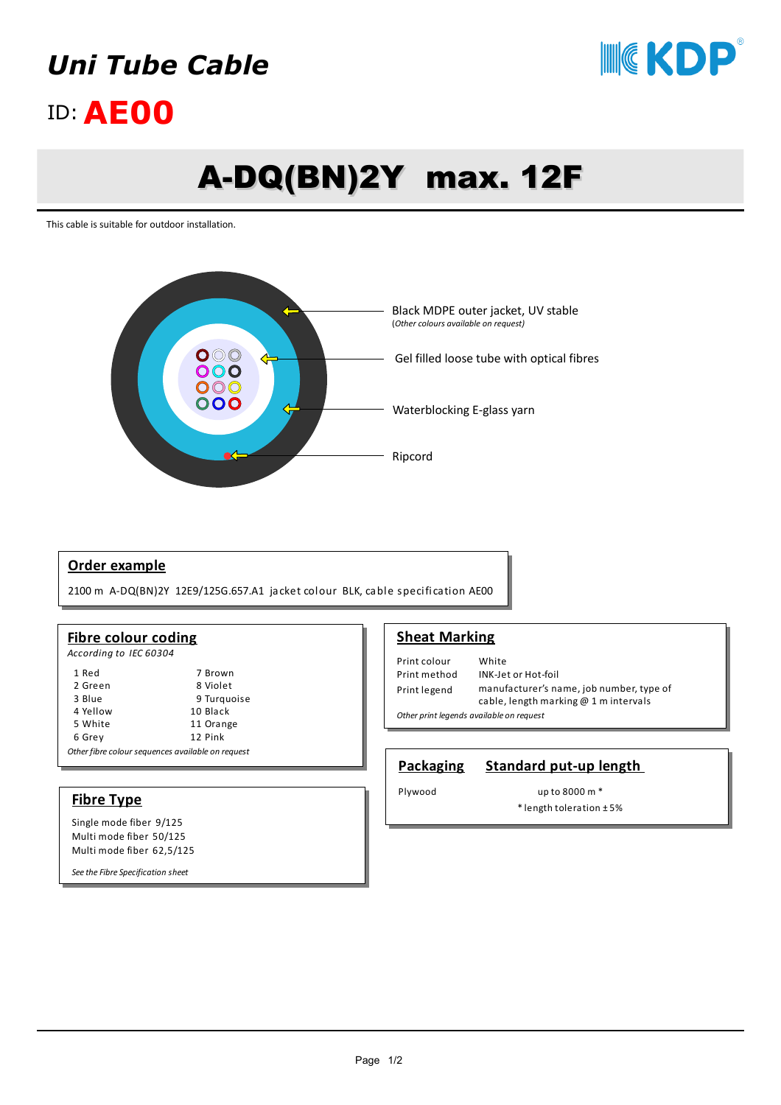## *Uni Tube Cable*



## ID:**AE00**

# A-DQ(BN)2Y max. 12F

This cable is suitable for outdoor installation.



#### **Order example**

2100 m A-DQ(BN)2Y 12E9/125G.657.A1 jacket colour BLK, cable specification AE00

#### **Fibre colour coding**

*According to IEC 60304*

| 1 Red                                             | 7 Brown     |
|---------------------------------------------------|-------------|
| 2 Green                                           | 8 Violet    |
| 3 Blue                                            | 9 Turquoise |
| 4 Yellow                                          | 10 Black    |
| 5 White                                           | 11 Orange   |
| 6 Grey                                            | 12 Pink     |
| Other fibre colour sequences available on request |             |

#### **Fibre Type**

Single mode fiber 9/125 Multi mode fiber 50/125 Multi mode fiber 62,5/125

*See the Fibre Specification sheet* 

#### **Sheat Marking**

Print colour White Print method INK-Jet or Hot-foil Print legend manufacturer's name, job number, type of cable, length marking @ 1 m intervals *Other print legends available on request*

#### **Packaging Standard put-up length**

Plywood up to 8000 m \*

\* length toleration ± 5%